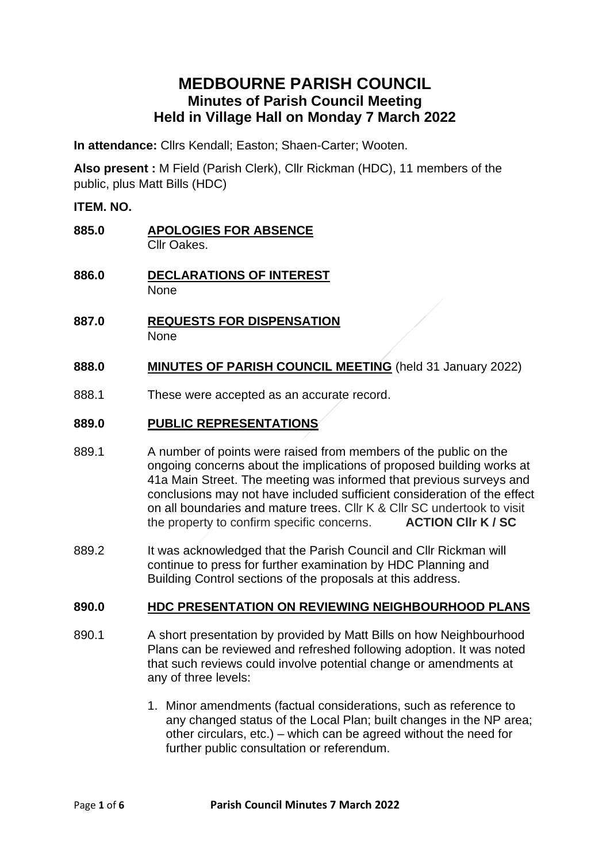# **MEDBOURNE PARISH COUNCIL Minutes of Parish Council Meeting Held in Village Hall on Monday 7 March 2022**

**In attendance:** Cllrs Kendall; Easton; Shaen-Carter; Wooten.

**Also present :** M Field (Parish Clerk), Cllr Rickman (HDC), 11 members of the public, plus Matt Bills (HDC)

### **ITEM. NO.**

- **885.0 APOLOGIES FOR ABSENCE** Cllr Oakes.
- **886.0 DECLARATIONS OF INTEREST None**
- **887.0 REQUESTS FOR DISPENSATION** None

### **888.0 MINUTES OF PARISH COUNCIL MEETING** (held 31 January 2022)

888.1 These were accepted as an accurate record.

#### **889.0 PUBLIC REPRESENTATIONS**

- 889.1 A number of points were raised from members of the public on the ongoing concerns about the implications of proposed building works at 41a Main Street. The meeting was informed that previous surveys and conclusions may not have included sufficient consideration of the effect on all boundaries and mature trees. Cllr K & Cllr SC undertook to visit the property to confirm specific concerns. **ACTION Cllr K / SC**
- 889.2 It was acknowledged that the Parish Council and Cllr Rickman will continue to press for further examination by HDC Planning and Building Control sections of the proposals at this address.

### **890.0 HDC PRESENTATION ON REVIEWING NEIGHBOURHOOD PLANS**

- 890.1 A short presentation by provided by Matt Bills on how Neighbourhood Plans can be reviewed and refreshed following adoption. It was noted that such reviews could involve potential change or amendments at any of three levels:
	- 1. Minor amendments (factual considerations, such as reference to any changed status of the Local Plan; built changes in the NP area; other circulars, etc.) – which can be agreed without the need for further public consultation or referendum.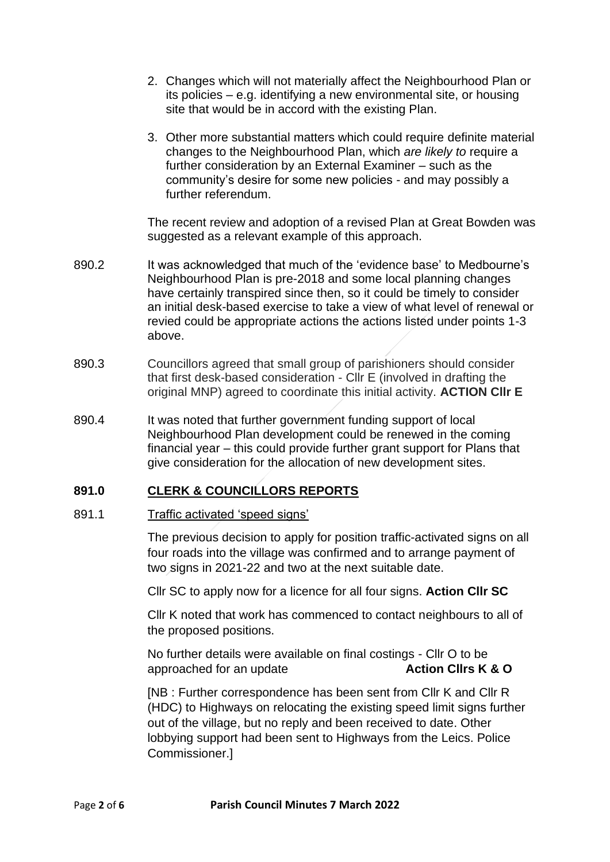- 2. Changes which will not materially affect the Neighbourhood Plan or its policies – e.g. identifying a new environmental site, or housing site that would be in accord with the existing Plan.
- 3. Other more substantial matters which could require definite material changes to the Neighbourhood Plan, which *are likely to* require a further consideration by an External Examiner – such as the community's desire for some new policies - and may possibly a further referendum.

The recent review and adoption of a revised Plan at Great Bowden was suggested as a relevant example of this approach.

- 890.2 It was acknowledged that much of the 'evidence base' to Medbourne's Neighbourhood Plan is pre-2018 and some local planning changes have certainly transpired since then, so it could be timely to consider an initial desk-based exercise to take a view of what level of renewal or revied could be appropriate actions the actions listed under points 1-3 above.
- 890.3 Councillors agreed that small group of parishioners should consider that first desk-based consideration - Cllr E (involved in drafting the original MNP) agreed to coordinate this initial activity. **ACTION Cllr E**
- 890.4 It was noted that further government funding support of local Neighbourhood Plan development could be renewed in the coming financial year – this could provide further grant support for Plans that give consideration for the allocation of new development sites.

## **891.0 CLERK & COUNCILLORS REPORTS**

#### 891.1 Traffic activated 'speed signs'

The previous decision to apply for position traffic-activated signs on all four roads into the village was confirmed and to arrange payment of two signs in 2021-22 and two at the next suitable date.

Cllr SC to apply now for a licence for all four signs. **Action Cllr SC**

Cllr K noted that work has commenced to contact neighbours to all of the proposed positions.

No further details were available on final costings - Cllr O to be approached for an update **Action Cllrs K & O**

[NB : Further correspondence has been sent from Cllr K and Cllr R (HDC) to Highways on relocating the existing speed limit signs further out of the village, but no reply and been received to date. Other lobbying support had been sent to Highways from the Leics. Police Commissioner.]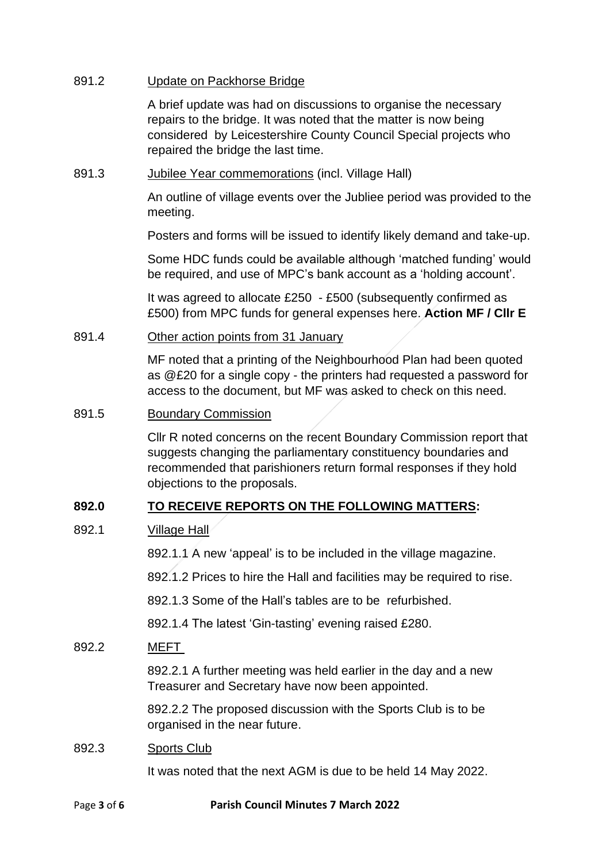#### 891.2 Update on Packhorse Bridge

A brief update was had on discussions to organise the necessary repairs to the bridge. It was noted that the matter is now being considered by Leicestershire County Council Special projects who repaired the bridge the last time.

891.3 Jubilee Year commemorations (incl. Village Hall)

An outline of village events over the Jubliee period was provided to the meeting.

Posters and forms will be issued to identify likely demand and take-up.

Some HDC funds could be available although 'matched funding' would be required, and use of MPC's bank account as a 'holding account'.

It was agreed to allocate £250 - £500 (subsequently confirmed as £500) from MPC funds for general expenses here. **Action MF / Cllr E**

#### 891.4 Other action points from 31 January

MF noted that a printing of the Neighbourhood Plan had been quoted as @£20 for a single copy - the printers had requested a password for access to the document, but MF was asked to check on this need.

#### 891.5 Boundary Commission

Cllr R noted concerns on the recent Boundary Commission report that suggests changing the parliamentary constituency boundaries and recommended that parishioners return formal responses if they hold objections to the proposals.

## **892.0 TO RECEIVE REPORTS ON THE FOLLOWING MATTERS:**

### 892.1 Village Hall

892.1.1 A new 'appeal' is to be included in the village magazine.

892.1.2 Prices to hire the Hall and facilities may be required to rise.

892.1.3 Some of the Hall's tables are to be refurbished.

892.1.4 The latest 'Gin-tasting' evening raised £280.

#### 892.2 MEFT

892.2.1 A further meeting was held earlier in the day and a new Treasurer and Secretary have now been appointed.

892.2.2 The proposed discussion with the Sports Club is to be organised in the near future.

#### 892.3 Sports Club

It was noted that the next AGM is due to be held 14 May 2022.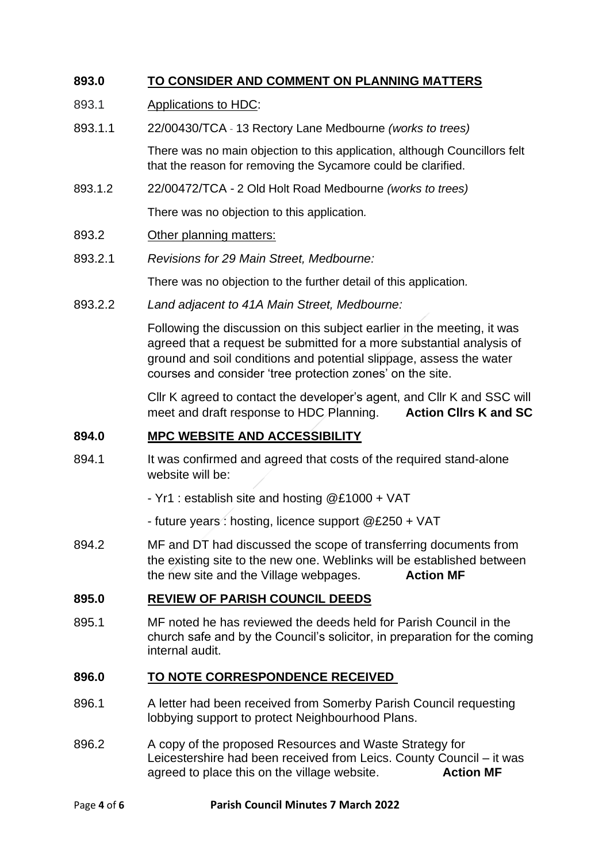## **893.0 TO CONSIDER AND COMMENT ON PLANNING MATTERS**

#### 893.1 Applications to HDC:

893.1.1 22/00430/TCA - 13 Rectory Lane Medbourne *(works to trees)*

There was no main objection to this application, although Councillors felt that the reason for removing the Sycamore could be clarified.

893.1.2 22/00472/TCA - 2 Old Holt Road Medbourne *(works to trees)*

There was no objection to this application*.*

- 893.2 Other planning matters:
- 893.2.1 *Revisions for 29 Main Street, Medbourne:*

There was no objection to the further detail of this application*.*

893.2.2 *Land adjacent to 41A Main Street, Medbourne:*

Following the discussion on this subject earlier in the meeting, it was agreed that a request be submitted for a more substantial analysis of ground and soil conditions and potential slippage, assess the water courses and consider 'tree protection zones' on the site.

Cllr K agreed to contact the developer's agent, and Cllr K and SSC will meet and draft response to HDC Planning. **Action Cllrs K and SC**

### **894.0 MPC WEBSITE AND ACCESSIBILITY**

- 894.1 It was confirmed and agreed that costs of the required stand-alone website will be:
	- Yr1 : establish site and hosting @£1000 + VAT
	- future years : hosting, licence support @£250 + VAT
- 894.2 MF and DT had discussed the scope of transferring documents from the existing site to the new one. Weblinks will be established between the new site and the Village webpages. **Action MF**

### **895.0 REVIEW OF PARISH COUNCIL DEEDS**

895.1 MF noted he has reviewed the deeds held for Parish Council in the church safe and by the Council's solicitor, in preparation for the coming internal audit.

### **896.0 TO NOTE CORRESPONDENCE RECEIVED**

- 896.1 A letter had been received from Somerby Parish Council requesting lobbying support to protect Neighbourhood Plans.
- 896.2 A copy of the proposed Resources and Waste Strategy for Leicestershire had been received from Leics. County Council – it was agreed to place this on the village website. **Action MF**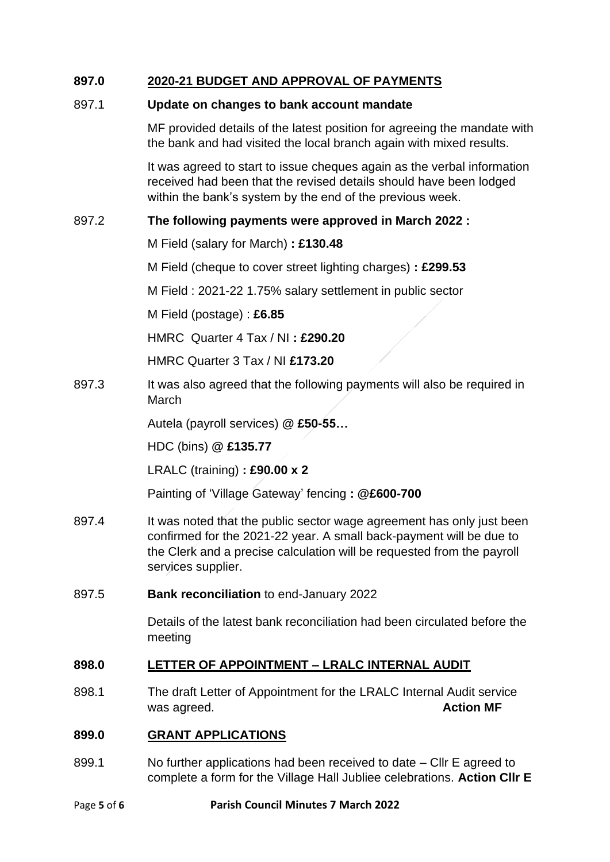## **897.0 2020-21 BUDGET AND APPROVAL OF PAYMENTS**

### 897.1 **Update on changes to bank account mandate**

MF provided details of the latest position for agreeing the mandate with the bank and had visited the local branch again with mixed results.

It was agreed to start to issue cheques again as the verbal information received had been that the revised details should have been lodged within the bank's system by the end of the previous week.

### 897.2 **The following payments were approved in March 2022 :**

M Field (salary for March) **: £130.48**

M Field (cheque to cover street lighting charges) **: £299.53**

M Field : 2021-22 1.75% salary settlement in public sector

M Field (postage) : **£6.85**

HMRC Quarter 4 Tax / NI **: £290.20**

HMRC Quarter 3 Tax / NI **£173.20**

897.3 It was also agreed that the following payments will also be required in March

Autela (payroll services) **@ £50-55…**

HDC (bins) **@ £135.77**

LRALC (training) **: £90.00 x 2**

Painting of 'Village Gateway' fencing **: @£600-700**

- 897.4 It was noted that the public sector wage agreement has only just been confirmed for the 2021-22 year. A small back-payment will be due to the Clerk and a precise calculation will be requested from the payroll services supplier.
- 897.5 **Bank reconciliation** to end-January 2022

Details of the latest bank reconciliation had been circulated before the meeting

## **898.0 LETTER OF APPOINTMENT – LRALC INTERNAL AUDIT**

898.1 The draft Letter of Appointment for the LRALC Internal Audit service was agreed. **Action MF** 

### **899.0 GRANT APPLICATIONS**

899.1 No further applications had been received to date – Cllr E agreed to complete a form for the Village Hall Jubliee celebrations. **Action Cllr E**